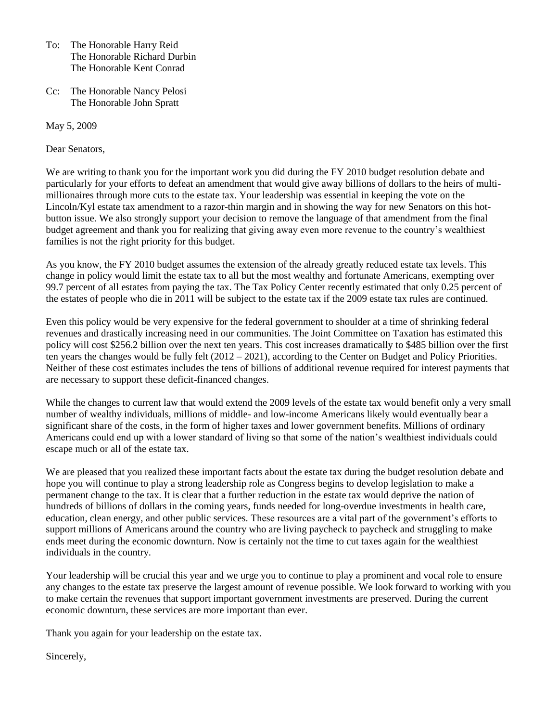- To: The Honorable Harry Reid The Honorable Richard Durbin The Honorable Kent Conrad
- Cc: The Honorable Nancy Pelosi The Honorable John Spratt

May 5, 2009

Dear Senators,

We are writing to thank you for the important work you did during the FY 2010 budget resolution debate and particularly for your efforts to defeat an amendment that would give away billions of dollars to the heirs of multimillionaires through more cuts to the estate tax. Your leadership was essential in keeping the vote on the Lincoln/Kyl estate tax amendment to a razor-thin margin and in showing the way for new Senators on this hotbutton issue. We also strongly support your decision to remove the language of that amendment from the final budget agreement and thank you for realizing that giving away even more revenue to the country's wealthiest families is not the right priority for this budget.

As you know, the FY 2010 budget assumes the extension of the already greatly reduced estate tax levels. This change in policy would limit the estate tax to all but the most wealthy and fortunate Americans, exempting over 99.7 percent of all estates from paying the tax. The Tax Policy Center recently estimated that only 0.25 percent of the estates of people who die in 2011 will be subject to the estate tax if the 2009 estate tax rules are continued.

Even this policy would be very expensive for the federal government to shoulder at a time of shrinking federal revenues and drastically increasing need in our communities. The Joint Committee on Taxation has estimated this policy will cost \$256.2 billion over the next ten years. This cost increases dramatically to \$485 billion over the first ten years the changes would be fully felt (2012 – 2021), according to the Center on Budget and Policy Priorities. Neither of these cost estimates includes the tens of billions of additional revenue required for interest payments that are necessary to support these deficit-financed changes.

While the changes to current law that would extend the 2009 levels of the estate tax would benefit only a very small number of wealthy individuals, millions of middle- and low-income Americans likely would eventually bear a significant share of the costs, in the form of higher taxes and lower government benefits. Millions of ordinary Americans could end up with a lower standard of living so that some of the nation's wealthiest individuals could escape much or all of the estate tax.

We are pleased that you realized these important facts about the estate tax during the budget resolution debate and hope you will continue to play a strong leadership role as Congress begins to develop legislation to make a permanent change to the tax. It is clear that a further reduction in the estate tax would deprive the nation of hundreds of billions of dollars in the coming years, funds needed for long-overdue investments in health care, education, clean energy, and other public services. These resources are a vital part of the government's efforts to support millions of Americans around the country who are living paycheck to paycheck and struggling to make ends meet during the economic downturn. Now is certainly not the time to cut taxes again for the wealthiest individuals in the country.

Your leadership will be crucial this year and we urge you to continue to play a prominent and vocal role to ensure any changes to the estate tax preserve the largest amount of revenue possible. We look forward to working with you to make certain the revenues that support important government investments are preserved. During the current economic downturn, these services are more important than ever.

Thank you again for your leadership on the estate tax.

Sincerely,